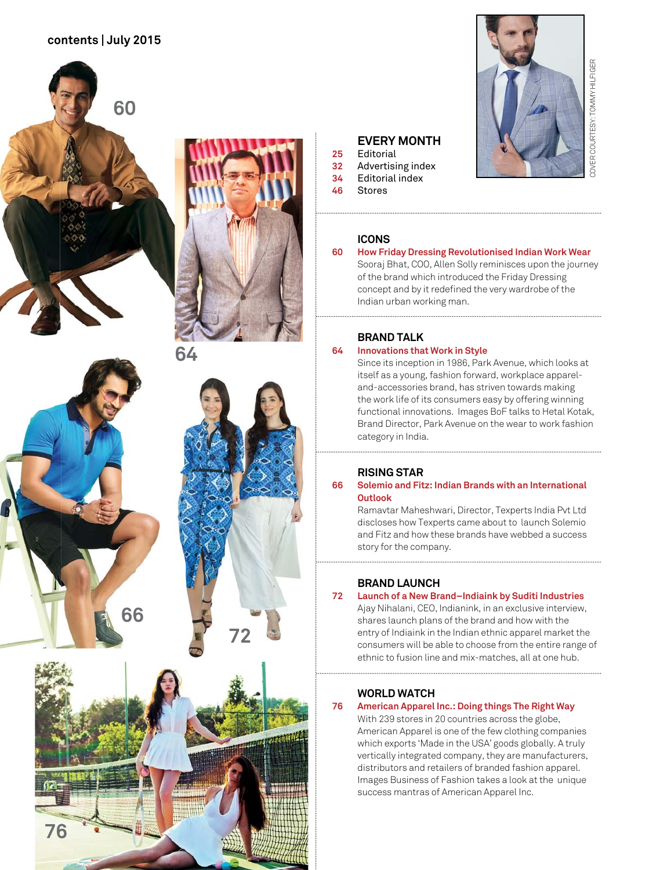## **contents | July 2015**





**72**

## **EVERY MONTH**<br>25 Editorial **25** Editorial

- **32** Advertising index **34** Editorial index
- **46** Stores

# COVER COURTESY: TOMMY HILFIGER COVER COURTESY: TOMMY HILFIGER

## **ICONS**

## **60 How Friday Dressing Revolutionised Indian Work Wear**

Sooraj Bhat, COO, Allen Solly reminisces upon the journey of the brand which introduced the Friday Dressing concept and by it redefined the very wardrobe of the Indian urban working man.

## **BRAND TALK**

## **64 Innovations that Work in Style**

 Since its inception in 1986, Park Avenue, which looks at itself as a young, fashion forward, workplace appareland-accessories brand, has striven towards making the work life of its consumers easy by offering winning functional innovations. Images BoF talks to Hetal Kotak, Brand Director, Park Avenue on the wear to work fashion category in India.

## **RISING STAR**<br>**66** Solemio and Fit

## **66 Solemio and Fitz: Indian Brands with an International Outlook**

Ramavtar Maheshwari, Director, Texperts India Pvt Ltd discloses how Texperts came about to launch Solemio and Fitz and how these brands have webbed a success story for the company.

## **BRAND LAUNCH**<br>**72** Launch of a New Bra

## **72 Launch of a New Brand–Indiaink by Suditi Industries**

Ajay Nihalani, CEO, Indianink, in an exclusive interview, shares launch plans of the brand and how with the entry of Indiaink in the Indian ethnic apparel market the consumers will be able to choose from the entire range of ethnic to fusion line and mix-matches, all at one hub.

## **WORLD WATCH**

## **76 American Apparel Inc.: Doing things The Right Way**

With 239 stores in 20 countries across the globe, American Apparel is one of the few clothing companies which exports 'Made in the USA' goods globally. A truly vertically integrated company, they are manufacturers, distributors and retailers of branded fashion apparel. Images Business of Fashion takes a look at the unique success mantras of American Apparel Inc.

**76**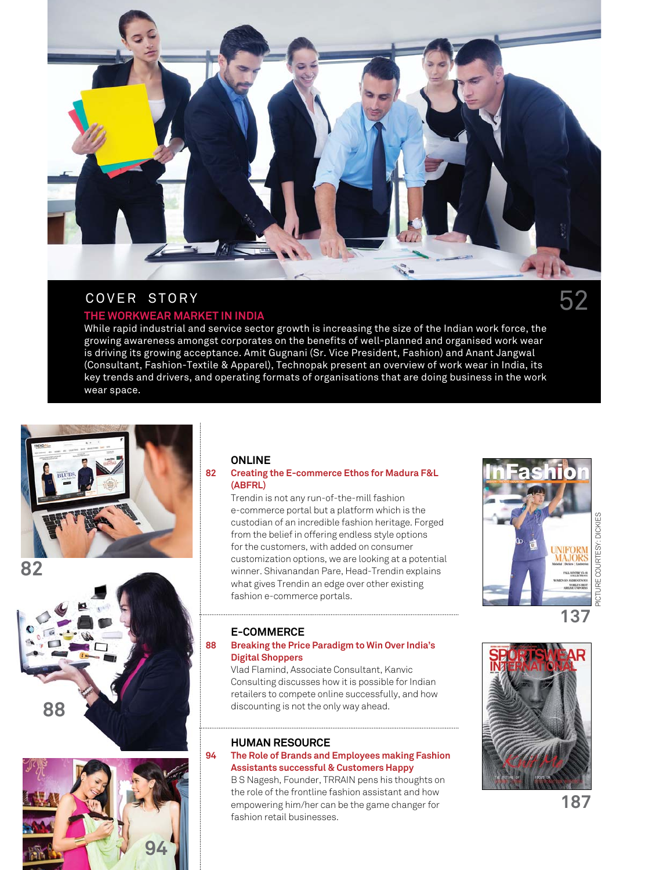

## COVER STORY

## **THE WORKWEAR MARKET IN INDIA**

While rapid industrial and service sector growth is increasing the size of the Indian work force, the growing awareness amongst corporates on the benefits of well-planned and organised work wear is driving its growing acceptance. Amit Gugnani (Sr. Vice President, Fashion) and Anant Jangwal (Consultant, Fashion-Textile & Apparel), Technopak present an overview of work wear in India, its key trends and drivers, and operating formats of organisations that are doing business in the work wear space.







## **ONLINE**

## **82 Creating the E-commerce Ethos for Madura F&L (ABFRL)**

 Trendin is not any run-of-the-mill fashion e-commerce portal but a platform which is the custodian of an incredible fashion heritage. Forged from the belief in offering endless style options for the customers, with added on consumer customization options, we are looking at a potential winner. Shivanandan Pare, Head-Trendin explains what gives Trendin an edge over other existing fashion e-commerce portals.

## **DICKIES** PICTURE COURTESY: DICKIES PICTURE COURTESY: MAJORS

**137**

## **E-COMMERCE**

## **88 Breaking the Price Paradigm to Win Over India's Digital Shoppers**

 Vlad Flamind, Associate Consultant, Kanvic Consulting discusses how it is possible for Indian retailers to compete online successfully, and how discounting is not the only way ahead.

## **HUMAN RESOURCE**

## **94 The Role of Brands and Employees making Fashion Assistants successful & Customers Happy**

 B S Nagesh, Founder, TRRAIN pens his thoughts on the role of the frontline fashion assistant and how empowering him/her can be the game changer for fashion retail businesses.

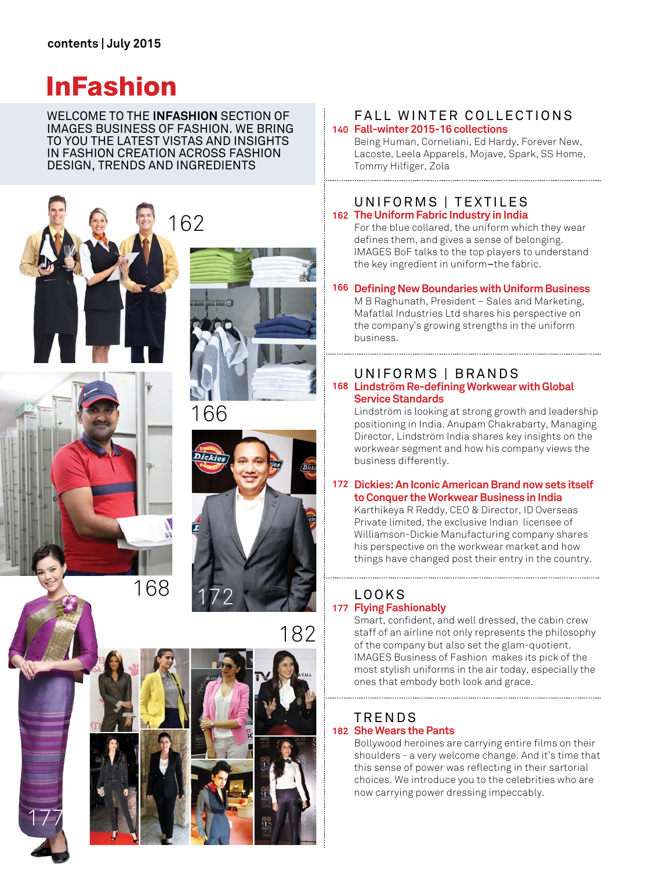## **InFashion**

WELCOME TO THE **INFASHION** SECTION OF IMAGES BUSINESS OF FASHION. WE BRING TO YOU THE LATEST VISTAS AND INSIGHTS IN FASHION CREATION ACROSS FASHION DESIGN, TRENDS AND INGREDIENTS





177









182

## **140 Fall-winter 2015-16 collections**  FALL WINTER COLLECTIONS

Being Human, Corneliani, Ed Hardy, Forever New, Lacoste, Leela Apparels, Mojave, Spark, SS Home, Tommy Hilfiger, Zola 

## UNIFORMS | TEXTILES **The Uniform Fabric Industry in India 162**

For the blue collared, the uniform which they wear defines them, and gives a sense of belonging. IMAGES BoF talks to the top players to understand the key ingredient in uniform–the fabric.

## 166 Defining New Boundaries with Uniform Business

M B Raghunath, President – Sales and Marketing, Mafatlal Industries Ltd shares his perspective on the company's growing strengths in the uniform business.

## UNIFORMS | BRANDS

168 Lindström Re-defining Workwear with Global **Service Standards** 

Lindström is looking at strong growth and leadership positioning in India. Anupam Chakrabarty, Managing Director, Lindström India shares key insights on the workwear segment and how his company views the business differently.

## **Dickies: An Iconic American Brand now sets itself 172 to Conquer the Workwear Business in India**

Karthikeya R Reddy, CEO & Director, ID Overseas Private limited, the exclusive Indian licensee of Williamson-Dickie Manufacturing company shares his perspective on the workwear market and how things have changed post their entry in the country.

## LOOKS **Flying Fashionably 177**

Smart, confident, and well dressed, the cabin crew staff of an airline not only represents the philosophy of the company but also set the glam-quotient. IMAGES Business of Fashion makes its pick of the most stylish uniforms in the air today, especially the ones that embody both look and grace.

## TRENDS **She Wears the Pants 182**

Bollywood heroines are carrying entire films on their shoulders - a very welcome change. And it's time that this sense of power was reflecting in their sartorial choices. We introduce you to the celebrities who are now carrying power dressing impeccably.